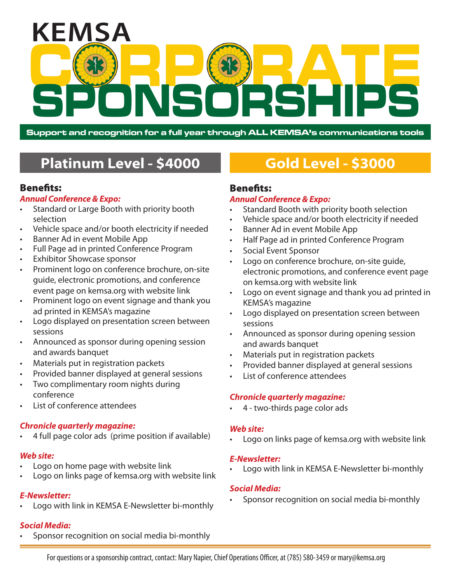

**Support and recognition for a full year through ALL KEMSA's communications tools**

# **Platinum Level - \$4000 Gold Level - \$3000**

# Benefits:

# *Annual Conference & Expo:*

- Standard or Large Booth with priority booth selection
- Vehicle space and/or booth electricity if needed
- Banner Ad in event Mobile App
- Full Page ad in printed Conference Program
- **Exhibitor Showcase sponsor**
- Prominent logo on conference brochure, on-site guide, electronic promotions, and conference event page on kemsa.org with website link
- • Prominent logo on event signage and thank you ad printed in KEMSA's magazine
- Logo displayed on presentation screen between sessions
- Announced as sponsor during opening session and awards banquet
- • Materials put in registration packets
- Provided banner displayed at general sessions
- Two complimentary room nights during conference
- List of conference attendees

# *Chronicle quarterly magazine:*

4 full page color ads (prime position if available)

# *Web site:*

- Logo on home page with website link
- Logo on links page of kemsa.org with website link

# *E-Newsletter:*

Logo with link in KEMSA E-Newsletter bi-monthly

# *Social Media:*

Sponsor recognition on social media bi-monthly

# Benefits:

# *Annual Conference & Expo:*

- Standard Booth with priority booth selection
- Vehicle space and/or booth electricity if needed
- Banner Ad in event Mobile App
- Half Page ad in printed Conference Program
- Social Event Sponsor
- Logo on conference brochure, on-site quide, electronic promotions, and conference event page on kemsa.org with website link
- • Logo on event signage and thank you ad printed in KEMSA's magazine
- Logo displayed on presentation screen between sessions
- Announced as sponsor during opening session and awards banquet
- Materials put in registration packets
- Provided banner displayed at general sessions
- List of conference attendees

# *Chronicle quarterly magazine:*

4 - two-thirds page color ads

# *Web site:*

Logo on links page of kemsa.org with website link

# *E-Newsletter:*

Logo with link in KEMSA E-Newsletter bi-monthly

# *Social Media:*

Sponsor recognition on social media bi-monthly